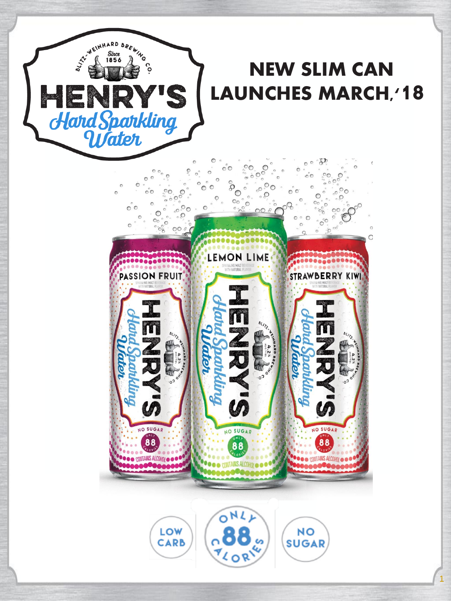